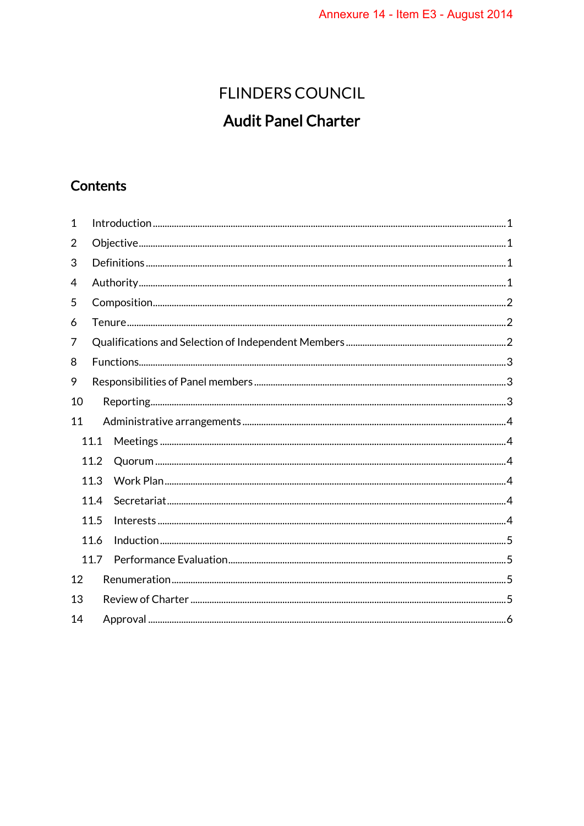# **FLINDERS COUNCIL Audit Panel Charter**

## Contents

| $\mathbf{1}$ |      |  |  |
|--------------|------|--|--|
| 2            |      |  |  |
| 3            |      |  |  |
| 4            |      |  |  |
| 5            |      |  |  |
| 6            |      |  |  |
| 7            |      |  |  |
| 8            |      |  |  |
| 9            |      |  |  |
| 10           |      |  |  |
| 11           |      |  |  |
|              | 11.1 |  |  |
|              | 11.2 |  |  |
|              | 11.3 |  |  |
|              | 11.4 |  |  |
|              | 11.5 |  |  |
|              | 11.6 |  |  |
|              | 11.7 |  |  |
| 12           |      |  |  |
| 13           |      |  |  |
| 14           |      |  |  |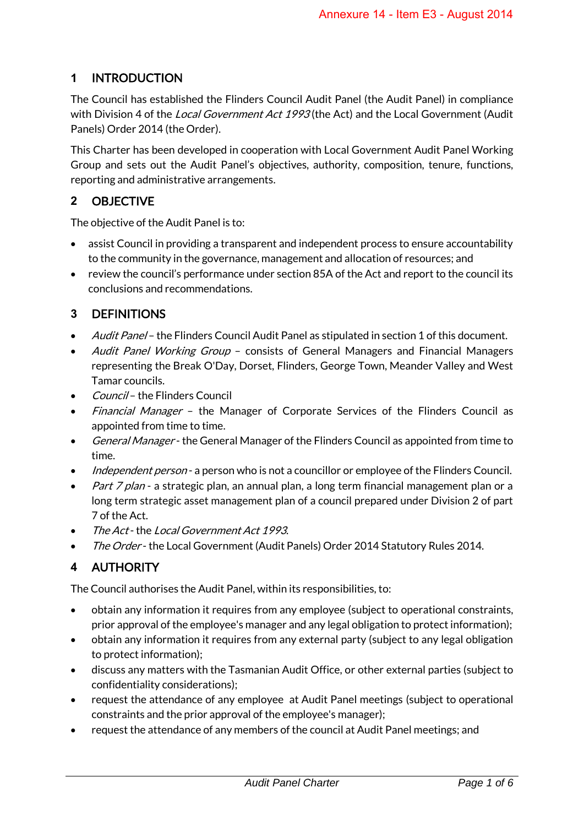## <span id="page-1-0"></span>**1** INTRODUCTION

The Council has established the Flinders Council Audit Panel (the Audit Panel) in compliance with Division 4 of the *Local Government Act 1993* (the Act) and the Local Government (Audit Panels) Order 2014 (the Order).

This Charter has been developed in cooperation with Local Government Audit Panel Working Group and sets out the Audit Panel's objectives, authority, composition, tenure, functions, reporting and administrative arrangements.

## <span id="page-1-1"></span>**2** OBJECTIVE

The objective of the Audit Panel is to:

- assist Council in providing a transparent and independent process to ensure accountability to the community in the governance, management and allocation of resources; and
- review the council's performance under section 85A of the Act and report to the council its conclusions and recommendations.

## <span id="page-1-2"></span>**3** DEFINITIONS

- *Audit Panel* the Flinders Council Audit Panel as stipulated in section 1 of this document.
- Audit Panel Working Group consists of General Managers and Financial Managers representing the Break O'Day, Dorset, Flinders, George Town, Meander Valley and West Tamar councils.
- *Council* the Flinders Council
- Financial Manager the Manager of Corporate Services of the Flinders Council as appointed from time to time.
- General Manager the General Manager of the Flinders Council as appointed from time to time.
- Independent person a person who is not a councillor or employee of the Flinders Council.
- Part 7 plan a strategic plan, an annual plan, a long term financial management plan or a long term strategic asset management plan of a council prepared under Division 2 of part 7 of the Act.
- The Act the Local Government Act 1993.
- The Order the Local Government (Audit Panels) Order 2014 Statutory Rules 2014.

## <span id="page-1-3"></span>**4** AUTHORITY

The Council authorises the Audit Panel, within its responsibilities, to:

- obtain any information it requires from any employee (subject to operational constraints, prior approval of the employee's manager and any legal obligation to protect information);
- obtain any information it requires from any external party (subject to any legal obligation to protect information);
- discuss any matters with the Tasmanian Audit Office, or other external parties (subject to confidentiality considerations);
- request the attendance of any employee at Audit Panel meetings (subject to operational constraints and the prior approval of the employee's manager);
- request the attendance of any members of the council at Audit Panel meetings; and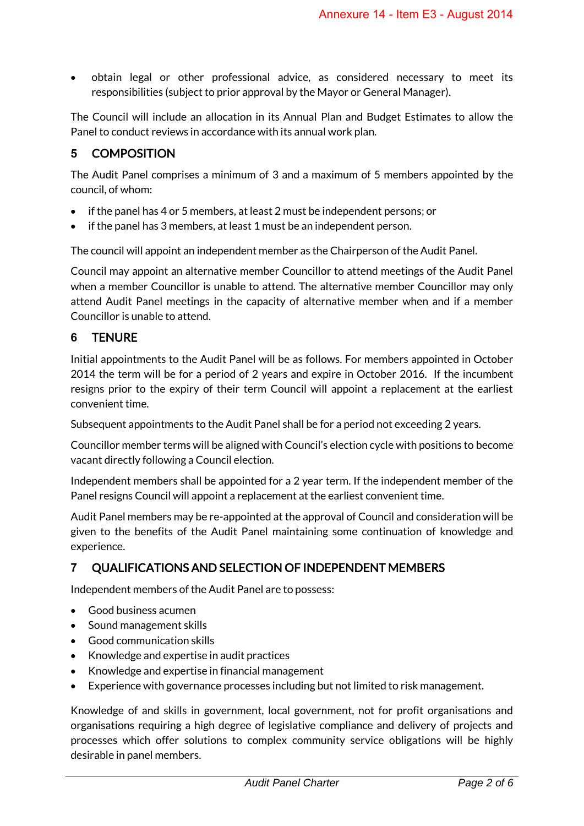obtain legal or other professional advice, as considered necessary to meet its responsibilities (subject to prior approval by the Mayor or General Manager).

The Council will include an allocation in its Annual Plan and Budget Estimates to allow the Panel to conduct reviews in accordance with its annual work plan.

## <span id="page-2-0"></span>**5** COMPOSITION

The Audit Panel comprises a minimum of 3 and a maximum of 5 members appointed by the council, of whom:

- if the panel has 4 or 5 members, at least 2 must be independent persons; or
- if the panel has 3 members, at least 1 must be an independent person.

The council will appoint an independent member as the Chairperson of the Audit Panel.

Council may appoint an alternative member Councillor to attend meetings of the Audit Panel when a member Councillor is unable to attend. The alternative member Councillor may only attend Audit Panel meetings in the capacity of alternative member when and if a member Councillor is unable to attend.

## <span id="page-2-1"></span>**6** TENURE

Initial appointments to the Audit Panel will be as follows. For members appointed in October 2014 the term will be for a period of 2 years and expire in October 2016. If the incumbent resigns prior to the expiry of their term Council will appoint a replacement at the earliest convenient time.

Subsequent appointments to the Audit Panel shall be for a period not exceeding 2 years.

Councillor member terms will be aligned with Council's election cycle with positions to become vacant directly following a Council election.

Independent members shall be appointed for a 2 year term. If the independent member of the Panel resigns Council will appoint a replacement at the earliest convenient time.

Audit Panel members may be re-appointed at the approval of Council and consideration will be given to the benefits of the Audit Panel maintaining some continuation of knowledge and experience.

## <span id="page-2-2"></span>**7** QUALIFICATIONS AND SELECTION OF INDEPENDENT MEMBERS

Independent members of the Audit Panel are to possess:

- Good business acumen
- Sound management skills
- Good communication skills
- Knowledge and expertise in audit practices
- Knowledge and expertise in financial management
- Experience with governance processes including but not limited to risk management.

Knowledge of and skills in government, local government, not for profit organisations and organisations requiring a high degree of legislative compliance and delivery of projects and processes which offer solutions to complex community service obligations will be highly desirable in panel members.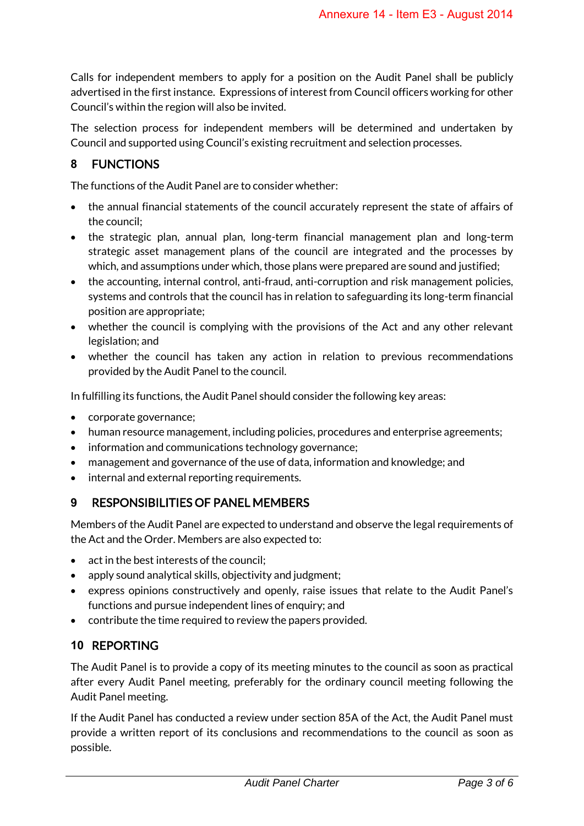Calls for independent members to apply for a position on the Audit Panel shall be publicly advertised in the first instance. Expressions of interest from Council officers working for other Council's within the region will also be invited.

The selection process for independent members will be determined and undertaken by Council and supported using Council's existing recruitment and selection processes.

## <span id="page-3-0"></span>**8** FUNCTIONS

The functions of the Audit Panel are to consider whether:

- the annual financial statements of the council accurately represent the state of affairs of the council;
- the strategic plan, annual plan, long-term financial management plan and long-term strategic asset management plans of the council are integrated and the processes by which, and assumptions under which, those plans were prepared are sound and justified;
- the accounting, internal control, anti-fraud, anti-corruption and risk management policies, systems and controls that the council has in relation to safeguarding its long-term financial position are appropriate;
- whether the council is complying with the provisions of the Act and any other relevant legislation; and
- whether the council has taken any action in relation to previous recommendations provided by the Audit Panel to the council.

In fulfilling its functions, the Audit Panel should consider the following key areas:

- corporate governance;
- human resource management, including policies, procedures and enterprise agreements;
- information and communications technology governance;
- management and governance of the use of data, information and knowledge; and
- internal and external reporting requirements.

## <span id="page-3-1"></span>**9** RESPONSIBILITIES OF PANEL MEMBERS

Members of the Audit Panel are expected to understand and observe the legal requirements of the Act and the Order. Members are also expected to:

- act in the best interests of the council;
- apply sound analytical skills, objectivity and judgment;
- express opinions constructively and openly, raise issues that relate to the Audit Panel's functions and pursue independent lines of enquiry; and
- contribute the time required to review the papers provided.

## <span id="page-3-2"></span>**10** REPORTING

The Audit Panel is to provide a copy of its meeting minutes to the council as soon as practical after every Audit Panel meeting, preferably for the ordinary council meeting following the Audit Panel meeting.

If the Audit Panel has conducted a review under section 85A of the Act, the Audit Panel must provide a written report of its conclusions and recommendations to the council as soon as possible.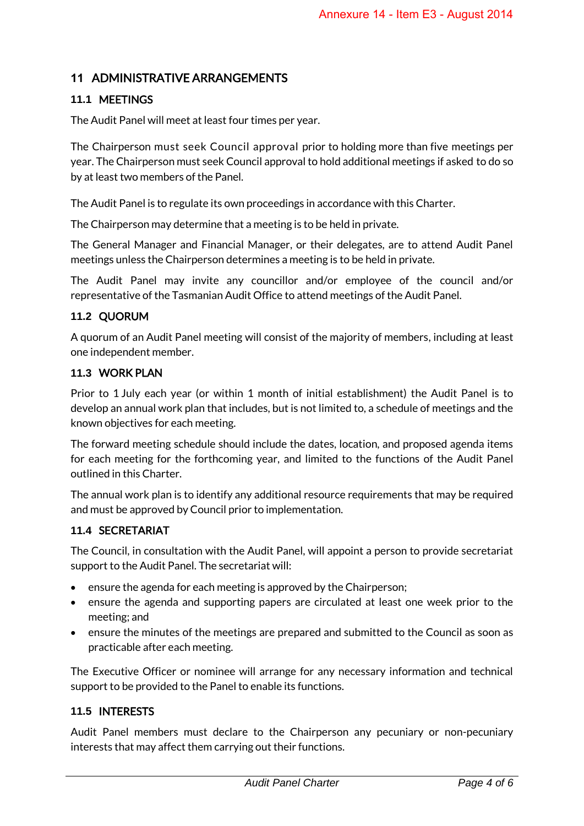## <span id="page-4-0"></span>**11** ADMINISTRATIVE ARRANGEMENTS

#### <span id="page-4-1"></span>**11.1** MEETINGS

The Audit Panel will meet at least four times per year.

The Chairperson must seek Council approval prior to holding more than five meetings per year. The Chairperson must seek Council approval to hold additional meetings if asked to do so by at least two members of the Panel.

The Audit Panel is to regulate its own proceedings in accordance with this Charter.

The Chairperson may determine that a meeting is to be held in private.

The General Manager and Financial Manager, or their delegates, are to attend Audit Panel meetings unless the Chairperson determines a meeting is to be held in private.

The Audit Panel may invite any councillor and/or employee of the council and/or representative of the Tasmanian Audit Office to attend meetings of the Audit Panel.

#### <span id="page-4-2"></span>**11.2** QUORUM

A quorum of an Audit Panel meeting will consist of the majority of members, including at least one independent member.

#### <span id="page-4-3"></span>**11.3** WORK PLAN

Prior to 1 July each year (or within 1 month of initial establishment) the Audit Panel is to develop an annual work plan that includes, but is not limited to, a schedule of meetings and the known objectives for each meeting.

The forward meeting schedule should include the dates, location, and proposed agenda items for each meeting for the forthcoming year, and limited to the functions of the Audit Panel outlined in this Charter.

The annual work plan is to identify any additional resource requirements that may be required and must be approved by Council prior to implementation.

#### <span id="page-4-4"></span>**11.4** SECRETARIAT

The Council, in consultation with the Audit Panel, will appoint a person to provide secretariat support to the Audit Panel. The secretariat will:

- ensure the agenda for each meeting is approved by the Chairperson;
- ensure the agenda and supporting papers are circulated at least one week prior to the meeting; and
- ensure the minutes of the meetings are prepared and submitted to the Council as soon as practicable after each meeting.

The Executive Officer or nominee will arrange for any necessary information and technical support to be provided to the Panel to enable its functions.

#### <span id="page-4-5"></span>**11.5** INTERESTS

Audit Panel members must declare to the Chairperson any pecuniary or non-pecuniary interests that may affect them carrying out their functions.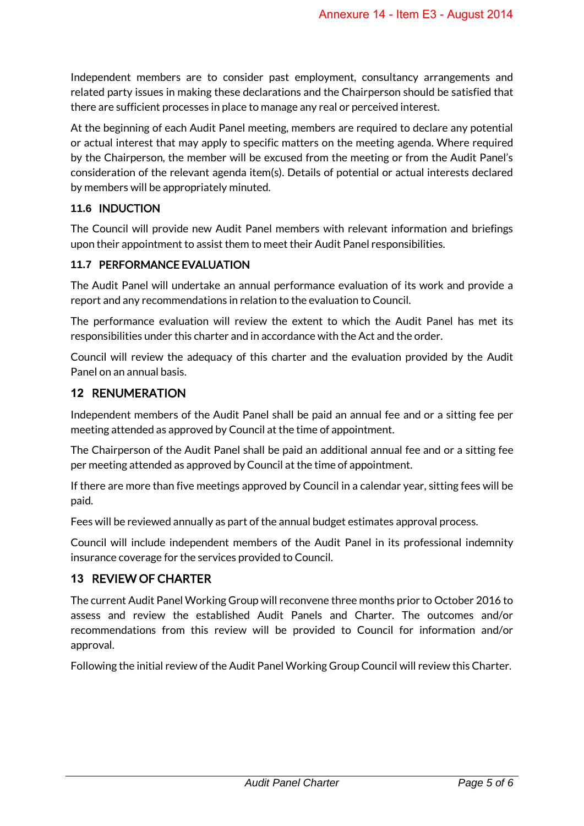Independent members are to consider past employment, consultancy arrangements and related party issues in making these declarations and the Chairperson should be satisfied that there are sufficient processes in place to manage any real or perceived interest.

At the beginning of each Audit Panel meeting, members are required to declare any potential or actual interest that may apply to specific matters on the meeting agenda. Where required by the Chairperson, the member will be excused from the meeting or from the Audit Panel's consideration of the relevant agenda item(s). Details of potential or actual interests declared by members will be appropriately minuted.

## <span id="page-5-0"></span>**11.6** INDUCTION

The Council will provide new Audit Panel members with relevant information and briefings upon their appointment to assist them to meet their Audit Panel responsibilities.

#### <span id="page-5-1"></span>**11.7** PERFORMANCE EVALUATION

The Audit Panel will undertake an annual performance evaluation of its work and provide a report and any recommendations in relation to the evaluation to Council.

The performance evaluation will review the extent to which the Audit Panel has met its responsibilities under this charter and in accordance with the Act and the order.

Council will review the adequacy of this charter and the evaluation provided by the Audit Panel on an annual basis.

#### <span id="page-5-2"></span>**12** RENUMERATION

Independent members of the Audit Panel shall be paid an annual fee and or a sitting fee per meeting attended as approved by Council at the time of appointment.

The Chairperson of the Audit Panel shall be paid an additional annual fee and or a sitting fee per meeting attended as approved by Council at the time of appointment.

If there are more than five meetings approved by Council in a calendar year, sitting fees will be paid.

Fees will be reviewed annually as part of the annual budget estimates approval process.

Council will include independent members of the Audit Panel in its professional indemnity insurance coverage for the services provided to Council.

## <span id="page-5-3"></span>**13** REVIEW OF CHARTER

The current Audit Panel Working Group will reconvene three months prior to October 2016 to assess and review the established Audit Panels and Charter. The outcomes and/or recommendations from this review will be provided to Council for information and/or approval.

Following the initial review of the Audit Panel Working Group Council will review this Charter.